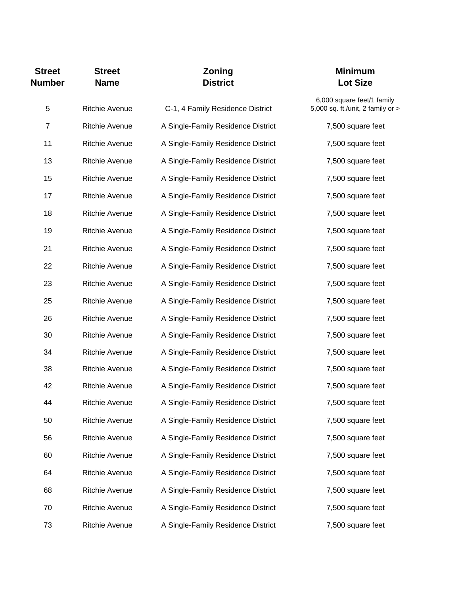| <b>Street</b><br><b>Number</b> | <b>Street</b><br><b>Name</b> | Zoning<br><b>District</b>          | <b>Minimum</b><br><b>Lot Size</b>                               |
|--------------------------------|------------------------------|------------------------------------|-----------------------------------------------------------------|
| 5                              | <b>Ritchie Avenue</b>        | C-1, 4 Family Residence District   | 6,000 square feet/1 family<br>5,000 sq. ft./unit, 2 family or > |
| $\overline{7}$                 | <b>Ritchie Avenue</b>        | A Single-Family Residence District | 7,500 square feet                                               |
| 11                             | <b>Ritchie Avenue</b>        | A Single-Family Residence District | 7,500 square feet                                               |
| 13                             | <b>Ritchie Avenue</b>        | A Single-Family Residence District | 7,500 square feet                                               |
| 15                             | Ritchie Avenue               | A Single-Family Residence District | 7,500 square feet                                               |
| 17                             | <b>Ritchie Avenue</b>        | A Single-Family Residence District | 7,500 square feet                                               |
| 18                             | <b>Ritchie Avenue</b>        | A Single-Family Residence District | 7,500 square feet                                               |
| 19                             | <b>Ritchie Avenue</b>        | A Single-Family Residence District | 7,500 square feet                                               |
| 21                             | <b>Ritchie Avenue</b>        | A Single-Family Residence District | 7,500 square feet                                               |
| 22                             | <b>Ritchie Avenue</b>        | A Single-Family Residence District | 7,500 square feet                                               |
| 23                             | <b>Ritchie Avenue</b>        | A Single-Family Residence District | 7,500 square feet                                               |
| 25                             | <b>Ritchie Avenue</b>        | A Single-Family Residence District | 7,500 square feet                                               |
| 26                             | Ritchie Avenue               | A Single-Family Residence District | 7,500 square feet                                               |
| 30                             | <b>Ritchie Avenue</b>        | A Single-Family Residence District | 7,500 square feet                                               |
| 34                             | <b>Ritchie Avenue</b>        | A Single-Family Residence District | 7,500 square feet                                               |
| 38                             | Ritchie Avenue               | A Single-Family Residence District | 7,500 square feet                                               |
| 42                             | <b>Ritchie Avenue</b>        | A Single-Family Residence District | 7,500 square feet                                               |
| 44                             | Ritchie Avenue               | A Single-Family Residence District | 7,500 square feet                                               |
| 50                             | <b>Ritchie Avenue</b>        | A Single-Family Residence District | 7,500 square feet                                               |
| 56                             | <b>Ritchie Avenue</b>        | A Single-Family Residence District | 7,500 square feet                                               |
| 60                             | <b>Ritchie Avenue</b>        | A Single-Family Residence District | 7,500 square feet                                               |
| 64                             | Ritchie Avenue               | A Single-Family Residence District | 7,500 square feet                                               |
| 68                             | Ritchie Avenue               | A Single-Family Residence District | 7,500 square feet                                               |
| 70                             | Ritchie Avenue               | A Single-Family Residence District | 7,500 square feet                                               |
| 73                             | Ritchie Avenue               | A Single-Family Residence District | 7,500 square feet                                               |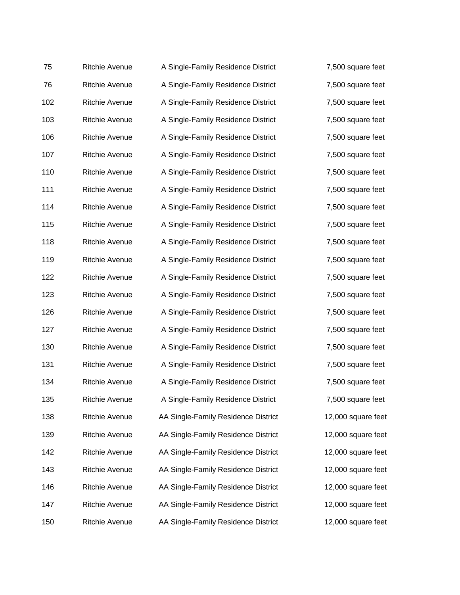| 75  | <b>Ritchie Avenue</b> | A Single-Family Residence District  | 7,500 square feet  |
|-----|-----------------------|-------------------------------------|--------------------|
| 76  | <b>Ritchie Avenue</b> | A Single-Family Residence District  | 7,500 square feet  |
| 102 | <b>Ritchie Avenue</b> | A Single-Family Residence District  | 7,500 square feet  |
| 103 | <b>Ritchie Avenue</b> | A Single-Family Residence District  | 7,500 square feet  |
| 106 | <b>Ritchie Avenue</b> | A Single-Family Residence District  | 7,500 square feet  |
| 107 | <b>Ritchie Avenue</b> | A Single-Family Residence District  | 7,500 square feet  |
| 110 | <b>Ritchie Avenue</b> | A Single-Family Residence District  | 7,500 square feet  |
| 111 | <b>Ritchie Avenue</b> | A Single-Family Residence District  | 7,500 square feet  |
| 114 | <b>Ritchie Avenue</b> | A Single-Family Residence District  | 7,500 square feet  |
| 115 | <b>Ritchie Avenue</b> | A Single-Family Residence District  | 7,500 square feet  |
| 118 | <b>Ritchie Avenue</b> | A Single-Family Residence District  | 7,500 square feet  |
| 119 | <b>Ritchie Avenue</b> | A Single-Family Residence District  | 7,500 square feet  |
| 122 | <b>Ritchie Avenue</b> | A Single-Family Residence District  | 7,500 square feet  |
| 123 | <b>Ritchie Avenue</b> | A Single-Family Residence District  | 7,500 square feet  |
| 126 | Ritchie Avenue        | A Single-Family Residence District  | 7,500 square feet  |
| 127 | <b>Ritchie Avenue</b> | A Single-Family Residence District  | 7,500 square feet  |
| 130 | <b>Ritchie Avenue</b> | A Single-Family Residence District  | 7,500 square feet  |
| 131 | Ritchie Avenue        | A Single-Family Residence District  | 7,500 square feet  |
| 134 | Ritchie Avenue        | A Single-Family Residence District  | 7,500 square feet  |
| 135 | Ritchie Avenue        | A Single-Family Residence District  | 7,500 square feet  |
| 138 | Ritchie Avenue        | AA Single-Family Residence District | 12,000 square feet |
| 139 | <b>Ritchie Avenue</b> | AA Single-Family Residence District | 12,000 square feet |
| 142 | <b>Ritchie Avenue</b> | AA Single-Family Residence District | 12,000 square feet |
| 143 | <b>Ritchie Avenue</b> | AA Single-Family Residence District | 12,000 square feet |
| 146 | <b>Ritchie Avenue</b> | AA Single-Family Residence District | 12,000 square feet |
| 147 | Ritchie Avenue        | AA Single-Family Residence District | 12,000 square feet |
| 150 | Ritchie Avenue        | AA Single-Family Residence District | 12,000 square feet |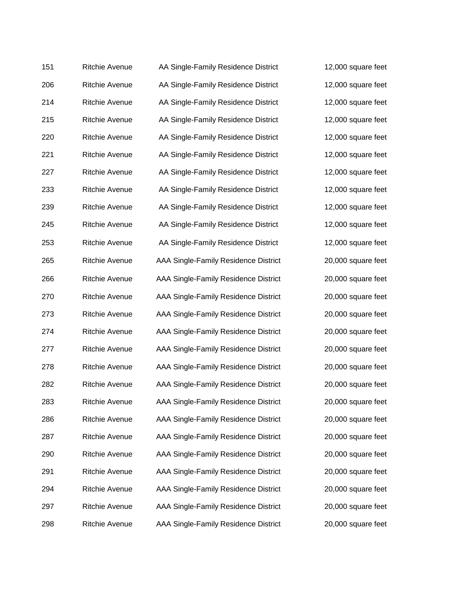| 151 | <b>Ritchie Avenue</b> | AA Single-Family Residence District  | 12,000 square feet |
|-----|-----------------------|--------------------------------------|--------------------|
| 206 | Ritchie Avenue        | AA Single-Family Residence District  | 12,000 square feet |
| 214 | Ritchie Avenue        | AA Single-Family Residence District  | 12,000 square feet |
| 215 | Ritchie Avenue        | AA Single-Family Residence District  | 12,000 square feet |
| 220 | <b>Ritchie Avenue</b> | AA Single-Family Residence District  | 12,000 square feet |
| 221 | Ritchie Avenue        | AA Single-Family Residence District  | 12,000 square feet |
| 227 | <b>Ritchie Avenue</b> | AA Single-Family Residence District  | 12,000 square feet |
| 233 | <b>Ritchie Avenue</b> | AA Single-Family Residence District  | 12,000 square feet |
| 239 | <b>Ritchie Avenue</b> | AA Single-Family Residence District  | 12,000 square feet |
| 245 | <b>Ritchie Avenue</b> | AA Single-Family Residence District  | 12,000 square feet |
| 253 | <b>Ritchie Avenue</b> | AA Single-Family Residence District  | 12,000 square feet |
| 265 | <b>Ritchie Avenue</b> | AAA Single-Family Residence District | 20,000 square feet |
| 266 | <b>Ritchie Avenue</b> | AAA Single-Family Residence District | 20,000 square feet |
| 270 | Ritchie Avenue        | AAA Single-Family Residence District | 20,000 square feet |
| 273 | <b>Ritchie Avenue</b> | AAA Single-Family Residence District | 20,000 square feet |
| 274 | <b>Ritchie Avenue</b> | AAA Single-Family Residence District | 20,000 square feet |
| 277 | Ritchie Avenue        | AAA Single-Family Residence District | 20,000 square feet |
| 278 | <b>Ritchie Avenue</b> | AAA Single-Family Residence District | 20,000 square feet |
| 282 | <b>Ritchie Avenue</b> | AAA Single-Family Residence District | 20,000 square feet |
| 283 | Ritchie Avenue        | AAA Single-Family Residence District | 20,000 square feet |
| 286 | <b>Ritchie Avenue</b> | AAA Single-Family Residence District | 20,000 square feet |
| 287 | <b>Ritchie Avenue</b> | AAA Single-Family Residence District | 20,000 square feet |
| 290 | <b>Ritchie Avenue</b> | AAA Single-Family Residence District | 20,000 square feet |
| 291 | <b>Ritchie Avenue</b> | AAA Single-Family Residence District | 20,000 square feet |
| 294 | <b>Ritchie Avenue</b> | AAA Single-Family Residence District | 20,000 square feet |
| 297 | <b>Ritchie Avenue</b> | AAA Single-Family Residence District | 20,000 square feet |
| 298 | Ritchie Avenue        | AAA Single-Family Residence District | 20,000 square feet |